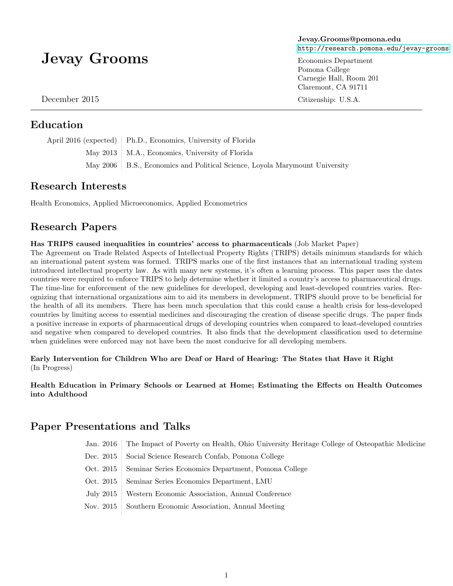# Jevay Grooms

December 2015

#### Education

April 2016 (expected) Ph.D., Economics, University of Florida May 2013 | M.A., Economics, University of Florida May 2006 | B.S., Economics and Political Science, Loyola Marymount University

#### Research Interests

Health Economics, Applied Microeconomics, Applied Econometrics

#### Research Papers

Has TRIPS caused inequalities in countries' access to pharmaceuticals (Job Market Paper)

The Agreement on Trade Related Aspects of Intellectual Property Rights (TRIPS) details minimum standards for which an international patent system was formed. TRIPS marks one of the first instances that an international trading system introduced intellectual property law. As with many new systems, it's often a learning process. This paper uses the dates countries were required to enforce TRIPS to help determine whether it limited a country's access to pharmaceutical drugs. The time-line for enforcement of the new guidelines for developed, developing and least-developed countries varies. Recognizing that international organizations aim to aid its members in development, TRIPS should prove to be beneficial for the health of all its members. There has been much speculation that this could cause a health crisis for less-developed countries by limiting access to essential medicines and discouraging the creation of disease specific drugs. The paper finds a positive increase in exports of pharmaceutical drugs of developing countries when compared to least-developed countries and negative when compared to developed countries. It also finds that the development classification used to determine when guidelines were enforced may not have been the most conducive for all developing members.

#### Early Intervention for Children Who are Deaf or Hard of Hearing: The States that Have it Right (In Progress)

#### Health Education in Primary Schools or Learned at Home; Estimating the Effects on Health Outcomes into Adulthood

### Paper Presentations and Talks

- Jan. 2016 The Impact of Poverty on Health, Ohio University Heritage College of Osteopathic Medicine
- Dec. 2015 | Social Science Research Confab, Pomona College
- Oct. 2015 | Seminar Series Economics Department, Pomona College
- Oct. 2015 | Seminar Series Economics Department, LMU
- July 2015 Western Economic Association, Annual Conference
- Nov. 2015 Southern Economic Association, Annual Meeting

Jevay.Grooms@pomona.edu <http://research.pomona.edu/jevay-grooms>

Economics Department Pomona College Carnegie Hall, Room 201 Claremont, CA 91711

Citizenship: U.S.A.